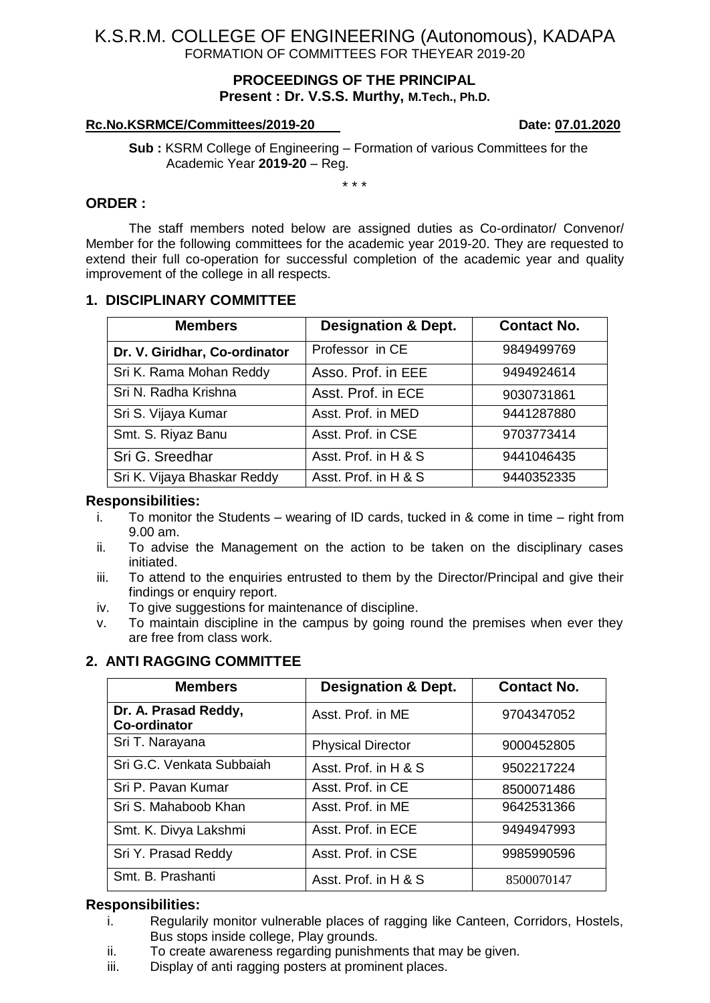## **PROCEEDINGS OF THE PRINCIPAL Present : Dr. V.S.S. Murthy, M.Tech., Ph.D.**

### **Rc.No.KSRMCE/Committees/2019-20 Date: 07.01.2020**

**Sub :** KSRM College of Engineering – Formation of various Committees for the Academic Year **2019-20** – Reg.

\* \* \*

### **ORDER :**

The staff members noted below are assigned duties as Co-ordinator/ Convenor/ Member for the following committees for the academic year 2019-20. They are requested to extend their full co-operation for successful completion of the academic year and quality improvement of the college in all respects.

## **1. DISCIPLINARY COMMITTEE**

| <b>Members</b>                | <b>Designation &amp; Dept.</b> | <b>Contact No.</b> |
|-------------------------------|--------------------------------|--------------------|
| Dr. V. Giridhar, Co-ordinator | Professor in CE                | 9849499769         |
| Sri K. Rama Mohan Reddy       | Asso. Prof. in EEE             | 9494924614         |
| Sri N. Radha Krishna          | Asst. Prof. in ECE             | 9030731861         |
| Sri S. Vijaya Kumar           | Asst. Prof. in MED             | 9441287880         |
| Smt. S. Riyaz Banu            | Asst. Prof. in CSE             | 9703773414         |
| Sri G. Sreedhar               | Asst. Prof. in H & S           | 9441046435         |
| Sri K. Vijaya Bhaskar Reddy   | Asst. Prof. in H & S           | 9440352335         |

### **Responsibilities:**

- i. To monitor the Students wearing of ID cards, tucked in & come in time right from 9.00 am.
- ii. To advise the Management on the action to be taken on the disciplinary cases initiated.
- iii. To attend to the enquiries entrusted to them by the Director/Principal and give their findings or enquiry report.
- iv. To give suggestions for maintenance of discipline.
- v. To maintain discipline in the campus by going round the premises when ever they are free from class work.

## **2. ANTI RAGGING COMMITTEE**

| <b>Members</b>                              | <b>Designation &amp; Dept.</b> | <b>Contact No.</b> |
|---------------------------------------------|--------------------------------|--------------------|
| Dr. A. Prasad Reddy,<br><b>Co-ordinator</b> | Asst. Prof. in ME              | 9704347052         |
| Sri T. Narayana                             | <b>Physical Director</b>       | 9000452805         |
| Sri G.C. Venkata Subbaiah                   | Asst. Prof. in H & S           | 9502217224         |
| Sri P. Pavan Kumar                          | Asst. Prof. in CE              | 8500071486         |
| Sri S. Mahaboob Khan                        | Asst. Prof. in ME              | 9642531366         |
| Smt. K. Divya Lakshmi                       | Asst. Prof. in ECE             | 9494947993         |
| Sri Y. Prasad Reddy                         | Asst. Prof. in CSE             | 9985990596         |
| Smt. B. Prashanti                           | Asst. Prof. in H & S           | 8500070147         |

## **Responsibilities:**

- i. Regularily monitor vulnerable places of ragging like Canteen, Corridors, Hostels, Bus stops inside college, Play grounds.
- ii. To create awareness regarding punishments that may be given.
- iii. Display of anti ragging posters at prominent places.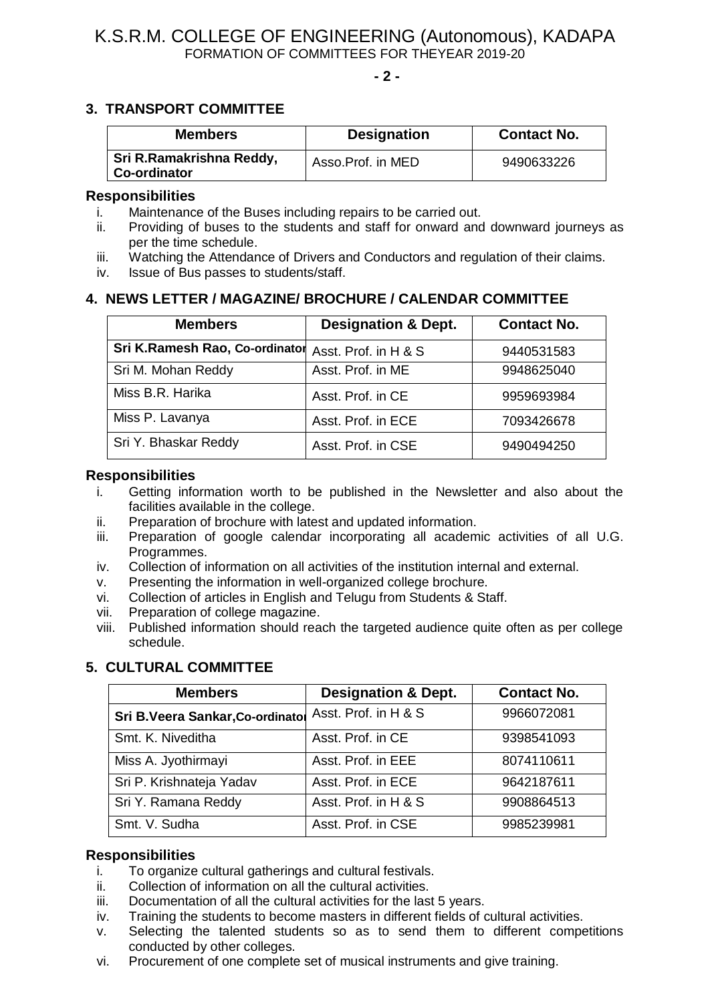**- 2 -**

## **3. TRANSPORT COMMITTEE**

| <b>Members</b>                           | <b>Designation</b> | <b>Contact No.</b> |
|------------------------------------------|--------------------|--------------------|
| Sri R.Ramakrishna Reddy,<br>Co-ordinator | Asso.Prof. in MED  | 9490633226         |

#### **Responsibilities**

- i. Maintenance of the Buses including repairs to be carried out.
- ii. Providing of buses to the students and staff for onward and downward journeys as per the time schedule.
- iii. Watching the Attendance of Drivers and Conductors and regulation of their claims.
- iv. Issue of Bus passes to students/staff.

## **4. NEWS LETTER / MAGAZINE/ BROCHURE / CALENDAR COMMITTEE**

| <b>Members</b>                 | <b>Designation &amp; Dept.</b> | <b>Contact No.</b> |
|--------------------------------|--------------------------------|--------------------|
| Sri K.Ramesh Rao, Co-ordinator | Asst. Prof. in H & S           | 9440531583         |
| Sri M. Mohan Reddy             | Asst. Prof. in ME              | 9948625040         |
| Miss B.R. Harika               | Asst. Prof. in CE              | 9959693984         |
| Miss P. Lavanya                | Asst. Prof. in ECE             | 7093426678         |
| Sri Y. Bhaskar Reddy           | Asst. Prof. in CSE             | 9490494250         |

### **Responsibilities**

- i. Getting information worth to be published in the Newsletter and also about the facilities available in the college.
- ii. Preparation of brochure with latest and updated information.
- iii. Preparation of google calendar incorporating all academic activities of all U.G. Programmes.
- iv. Collection of information on all activities of the institution internal and external.
- v. Presenting the information in well-organized college brochure.
- vi. Collection of articles in English and Telugu from Students & Staff.
- vii. Preparation of college magazine.
- viii. Published information should reach the targeted audience quite often as per college schedule.

## **5. CULTURAL COMMITTEE**

| <b>Members</b>                  | <b>Designation &amp; Dept.</b> | <b>Contact No.</b> |
|---------------------------------|--------------------------------|--------------------|
| Sri B.Veera Sankar, Co-ordinato | Asst. Prof. in H & S           | 9966072081         |
| Smt. K. Niveditha               | Asst. Prof. in CE              | 9398541093         |
| Miss A. Jyothirmayi             | Asst. Prof. in EEE             | 8074110611         |
| Sri P. Krishnateja Yadav        | Asst. Prof. in ECE             | 9642187611         |
| Sri Y. Ramana Reddy             | Asst. Prof. in H & S           | 9908864513         |
| Smt. V. Sudha                   | Asst. Prof. in CSE             | 9985239981         |

### **Responsibilities**

- i. To organize cultural gatherings and cultural festivals.
- ii. Collection of information on all the cultural activities.
- iii. Documentation of all the cultural activities for the last 5 years.
- iv. Training the students to become masters in different fields of cultural activities.
- v. Selecting the talented students so as to send them to different competitions conducted by other colleges.
- vi. Procurement of one complete set of musical instruments and give training.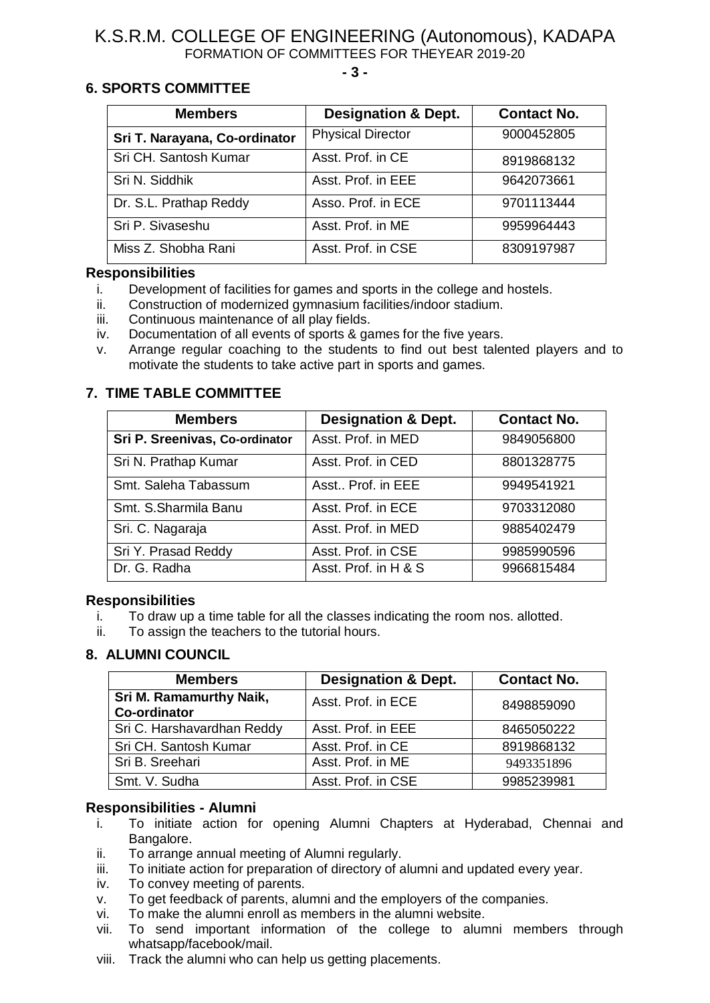**- 3 -**

## **6. SPORTS COMMITTEE**

| <b>Members</b>                | <b>Designation &amp; Dept.</b> | <b>Contact No.</b> |
|-------------------------------|--------------------------------|--------------------|
| Sri T. Narayana, Co-ordinator | <b>Physical Director</b>       | 9000452805         |
| Sri CH. Santosh Kumar         | Asst. Prof. in CE              | 8919868132         |
| Sri N. Siddhik                | Asst. Prof. in EEE             | 9642073661         |
| Dr. S.L. Prathap Reddy        | Asso. Prof. in ECE             | 9701113444         |
| Sri P. Sivaseshu              | Asst. Prof. in ME              | 9959964443         |
| Miss Z. Shobha Rani           | Asst. Prof. in CSE             | 8309197987         |

### **Responsibilities**

- i. Development of facilities for games and sports in the college and hostels.
- ii. Construction of modernized gymnasium facilities/indoor stadium.
- iii. Continuous maintenance of all play fields.
- iv. Documentation of all events of sports & games for the five years.
- v. Arrange regular coaching to the students to find out best talented players and to motivate the students to take active part in sports and games.

## **7. TIME TABLE COMMITTEE**

| <b>Members</b>                 | <b>Designation &amp; Dept.</b> | <b>Contact No.</b> |
|--------------------------------|--------------------------------|--------------------|
| Sri P. Sreenivas, Co-ordinator | Asst. Prof. in MED             | 9849056800         |
| Sri N. Prathap Kumar           | Asst. Prof. in CED             | 8801328775         |
| Smt. Saleha Tabassum           | Asst Prof. in EEE              | 9949541921         |
| Smt. S.Sharmila Banu           | Asst. Prof. in ECE             | 9703312080         |
| Sri. C. Nagaraja               | Asst. Prof. in MED             | 9885402479         |
| Sri Y. Prasad Reddy            | Asst. Prof. in CSE             | 9985990596         |
| Dr. G. Radha                   | Asst. Prof. in H & S           | 9966815484         |

## **Responsibilities**

- i. To draw up a time table for all the classes indicating the room nos. allotted.
- ii. To assign the teachers to the tutorial hours.

## **8. ALUMNI COUNCIL**

| <b>Members</b>                                 | <b>Designation &amp; Dept.</b> | <b>Contact No.</b> |
|------------------------------------------------|--------------------------------|--------------------|
| Sri M. Ramamurthy Naik,<br><b>Co-ordinator</b> | Asst. Prof. in ECE             | 8498859090         |
| Sri C. Harshavardhan Reddy                     | Asst. Prof. in EEE             | 8465050222         |
| Sri CH. Santosh Kumar                          | Asst. Prof. in CE              | 8919868132         |
| Sri B. Sreehari                                | Asst. Prof. in ME              | 9493351896         |
| Smt. V. Sudha                                  | Asst. Prof. in CSE             | 9985239981         |

## **Responsibilities - Alumni**

- i. To initiate action for opening Alumni Chapters at Hyderabad, Chennai and Bangalore.
- ii. To arrange annual meeting of Alumni regularly.
- iii. To initiate action for preparation of directory of alumni and updated every year.
- iv. To convey meeting of parents.
- v. To get feedback of parents, alumni and the employers of the companies.
- 
- vi. To make the alumni enroll as members in the alumni website.<br>vii. To send important information of the college to alum To send important information of the college to alumni members through whatsapp/facebook/mail.
- viii. Track the alumni who can help us getting placements.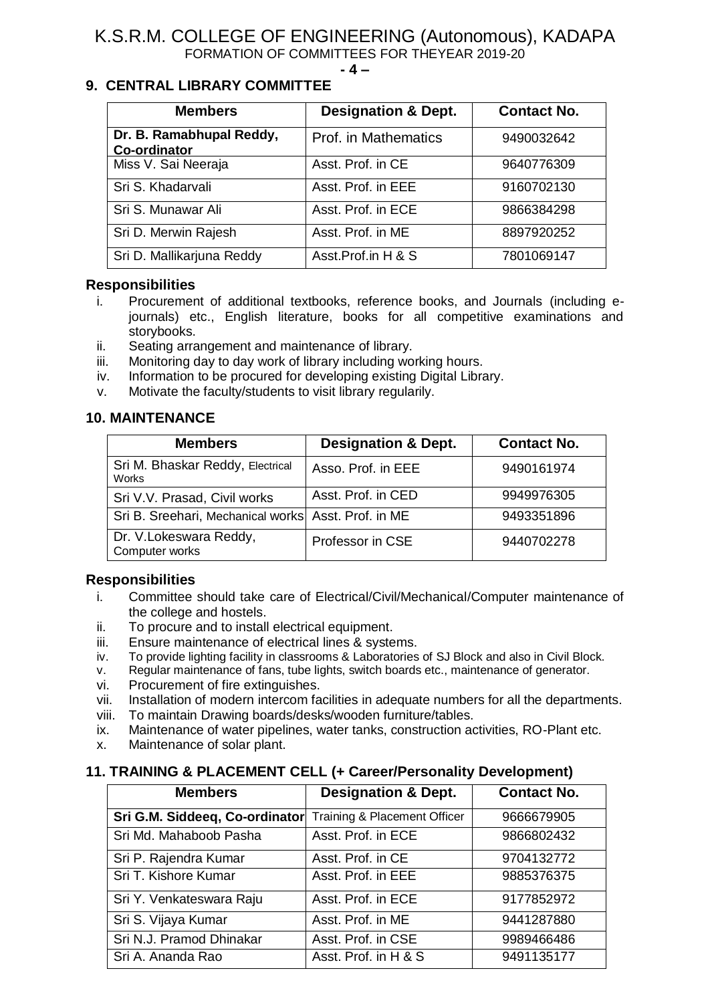#### **- 4 –**

## **9. CENTRAL LIBRARY COMMITTEE**

| <b>Members</b>                                  | <b>Designation &amp; Dept.</b> | <b>Contact No.</b> |
|-------------------------------------------------|--------------------------------|--------------------|
| Dr. B. Ramabhupal Reddy,<br><b>Co-ordinator</b> | Prof. in Mathematics           | 9490032642         |
| Miss V. Sai Neeraja                             | Asst. Prof. in CE              | 9640776309         |
| Sri S. Khadarvali                               | Asst. Prof. in EEE             | 9160702130         |
| Sri S. Munawar Ali                              | Asst. Prof. in ECE             | 9866384298         |
| Sri D. Merwin Rajesh                            | Asst. Prof. in ME              | 8897920252         |
| Sri D. Mallikarjuna Reddy                       | Asst.Prof.in H & S             | 7801069147         |

## **Responsibilities**

- i. Procurement of additional textbooks, reference books, and Journals (including ejournals) etc., English literature, books for all competitive examinations and storybooks.
- ii. Seating arrangement and maintenance of library.
- iii. Monitoring day to day work of library including working hours.
- iv. Information to be procured for developing existing Digital Library.
- v. Motivate the faculty/students to visit library regularily.

## **10. MAINTENANCE**

| <b>Members</b>                                      | <b>Designation &amp; Dept.</b> | <b>Contact No.</b> |
|-----------------------------------------------------|--------------------------------|--------------------|
| Sri M. Bhaskar Reddy, Electrical<br><b>Works</b>    | Asso. Prof. in EEE             | 9490161974         |
| Sri V.V. Prasad, Civil works                        | Asst. Prof. in CED             | 9949976305         |
| Sri B. Sreehari, Mechanical works Asst. Prof. in ME |                                | 9493351896         |
| Dr. V.Lokeswara Reddy,<br>Computer works            | Professor in CSE               | 9440702278         |

## **Responsibilities**

- i. Committee should take care of Electrical/Civil/Mechanical/Computer maintenance of the college and hostels.
- ii. To procure and to install electrical equipment.
- iii. Ensure maintenance of electrical lines & systems.
- iv. To provide lighting facility in classrooms & Laboratories of SJ Block and also in Civil Block.
- v. Regular maintenance of fans, tube lights, switch boards etc., maintenance of generator.
- vi. Procurement of fire extinguishes.
- vii. Installation of modern intercom facilities in adequate numbers for all the departments.
- viii. To maintain Drawing boards/desks/wooden furniture/tables.
- ix. Maintenance of water pipelines, water tanks, construction activities, RO-Plant etc.
- x. Maintenance of solar plant.

## **11. TRAINING & PLACEMENT CELL (+ Career/Personality Development)**

| <b>Members</b>                 | <b>Designation &amp; Dept.</b> | <b>Contact No.</b> |
|--------------------------------|--------------------------------|--------------------|
| Sri G.M. Siddeeq, Co-ordinator | Training & Placement Officer   | 9666679905         |
| Sri Md. Mahaboob Pasha         | Asst. Prof. in ECE             | 9866802432         |
| Sri P. Rajendra Kumar          | Asst. Prof. in CE              | 9704132772         |
| Sri T. Kishore Kumar           | Asst. Prof. in EEE             | 9885376375         |
| Sri Y. Venkateswara Raju       | Asst. Prof. in ECE             | 9177852972         |
| Sri S. Vijaya Kumar            | Asst. Prof. in ME              | 9441287880         |
| Sri N.J. Pramod Dhinakar       | Asst. Prof. in CSE             | 9989466486         |
| Sri A. Ananda Rao              | Asst. Prof. in H & S           | 9491135177         |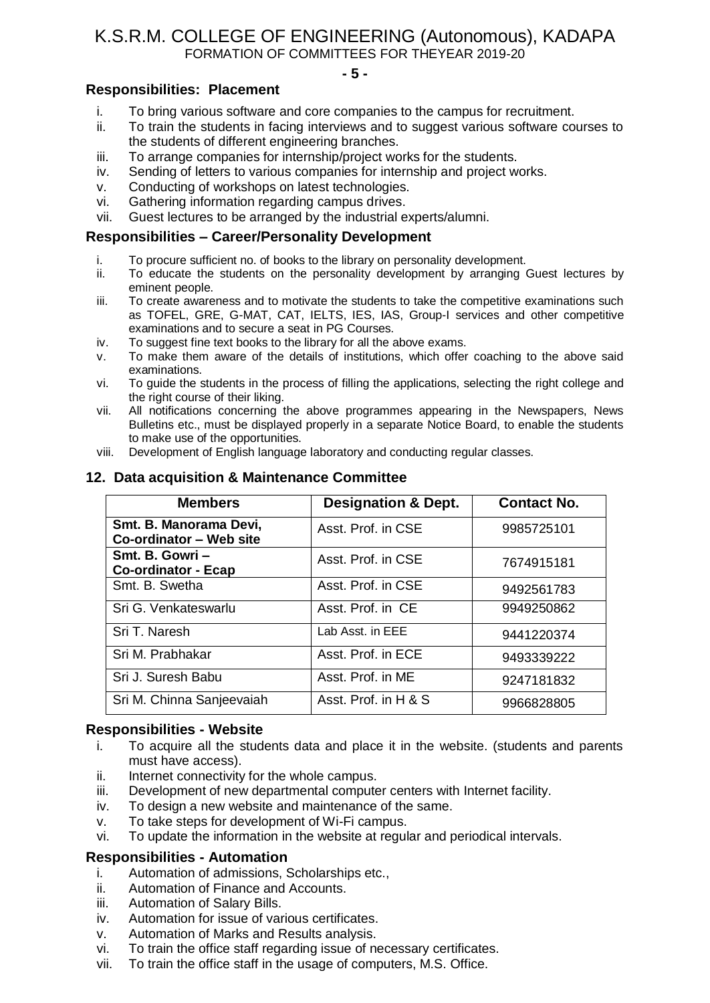#### **- 5 -**

## **Responsibilities: Placement**

- i. To bring various software and core companies to the campus for recruitment.
- ii. To train the students in facing interviews and to suggest various software courses to the students of different engineering branches.
- iii. To arrange companies for internship/project works for the students.
- iv. Sending of letters to various companies for internship and project works.
- v. Conducting of workshops on latest technologies.
- vi. Gathering information regarding campus drives.
- vii. Guest lectures to be arranged by the industrial experts/alumni.

### **Responsibilities – Career/Personality Development**

- i. To procure sufficient no. of books to the library on personality development.
- ii. To educate the students on the personality development by arranging Guest lectures by eminent people.
- iii. To create awareness and to motivate the students to take the competitive examinations such as TOFEL, GRE, G-MAT, CAT, IELTS, IES, IAS, Group-I services and other competitive examinations and to secure a seat in PG Courses.
- iv. To suggest fine text books to the library for all the above exams.
- v. To make them aware of the details of institutions, which offer coaching to the above said examinations.
- vi. To guide the students in the process of filling the applications, selecting the right college and the right course of their liking.
- vii. All notifications concerning the above programmes appearing in the Newspapers, News Bulletins etc., must be displayed properly in a separate Notice Board, to enable the students to make use of the opportunities.
- viii. Development of English language laboratory and conducting regular classes.

### **12. Data acquisition & Maintenance Committee**

| <b>Members</b>                                    | <b>Designation &amp; Dept.</b> | <b>Contact No.</b> |
|---------------------------------------------------|--------------------------------|--------------------|
| Smt. B. Manorama Devi,<br>Co-ordinator - Web site | Asst. Prof. in CSE             | 9985725101         |
| Smt. B. Gowri-<br><b>Co-ordinator - Ecap</b>      | Asst. Prof. in CSE             | 7674915181         |
| Smt. B. Swetha                                    | Asst. Prof. in CSE             | 9492561783         |
| Sri G. Venkateswarlu                              | Asst. Prof. in CE              | 9949250862         |
| Sri T. Naresh                                     | Lab Asst. in EEE               | 9441220374         |
| Sri M. Prabhakar                                  | Asst. Prof. in ECE             | 9493339222         |
| Sri J. Suresh Babu                                | Asst. Prof. in ME              | 9247181832         |
| Sri M. Chinna Sanjeevaiah                         | Asst. Prof. in H & S           | 9966828805         |

### **Responsibilities - Website**

- i. To acquire all the students data and place it in the website. (students and parents must have access).
- ii. Internet connectivity for the whole campus.
- iii. Development of new departmental computer centers with Internet facility.
- iv. To design a new website and maintenance of the same.
- v. To take steps for development of Wi-Fi campus.
- vi. To update the information in the website at regular and periodical intervals.

### **Responsibilities - Automation**

- i. Automation of admissions, Scholarships etc.,
- ii. Automation of Finance and Accounts.
- iii. Automation of Salary Bills.
- iv. Automation for issue of various certificates.
- v. Automation of Marks and Results analysis.
- vi. To train the office staff regarding issue of necessary certificates.
- vii. To train the office staff in the usage of computers, M.S. Office.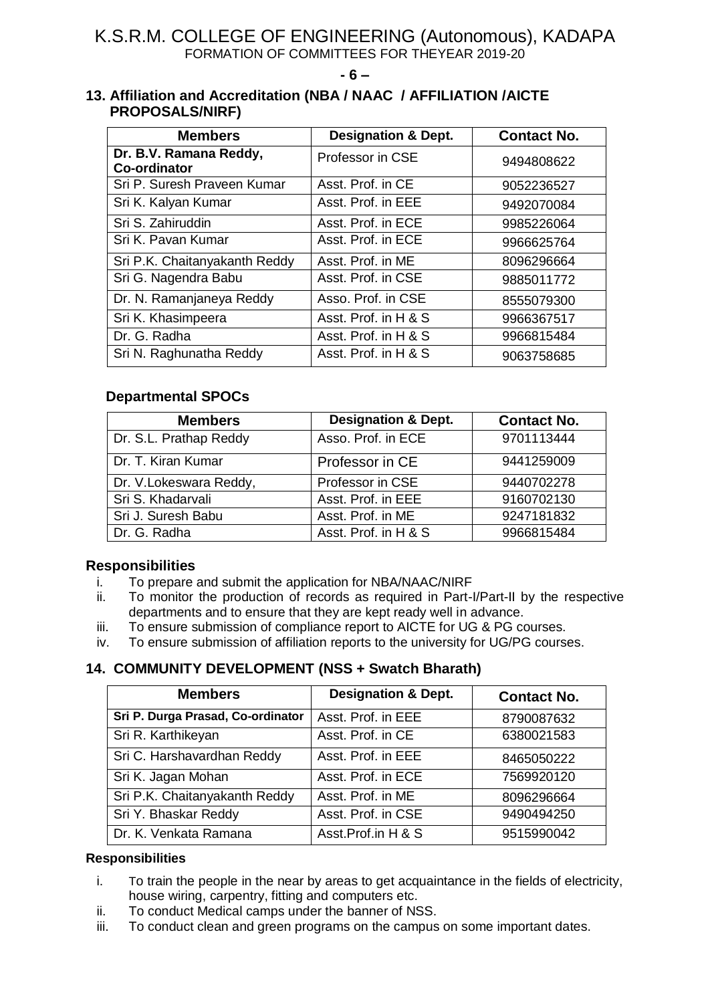**- 6 –**

## **13. Affiliation and Accreditation (NBA / NAAC / AFFILIATION /AICTE PROPOSALS/NIRF)**

| <b>Members</b>                                | <b>Designation &amp; Dept.</b> | <b>Contact No.</b> |
|-----------------------------------------------|--------------------------------|--------------------|
| Dr. B.V. Ramana Reddy,<br><b>Co-ordinator</b> | Professor in CSE               | 9494808622         |
| Sri P. Suresh Praveen Kumar                   | Asst. Prof. in CE              | 9052236527         |
| Sri K. Kalyan Kumar                           | Asst. Prof. in EEE             | 9492070084         |
| Sri S. Zahiruddin                             | Asst. Prof. in ECE             | 9985226064         |
| Sri K. Pavan Kumar                            | Asst. Prof. in ECE             | 9966625764         |
| Sri P.K. Chaitanyakanth Reddy                 | Asst. Prof. in ME              | 8096296664         |
| Sri G. Nagendra Babu                          | Asst. Prof. in CSE             | 9885011772         |
| Dr. N. Ramanjaneya Reddy                      | Asso. Prof. in CSE             | 8555079300         |
| Sri K. Khasimpeera                            | Asst. Prof. in H & S           | 9966367517         |
| Dr. G. Radha                                  | Asst. Prof. in H & S           | 9966815484         |
| Sri N. Raghunatha Reddy                       | Asst. Prof. in H & S           | 9063758685         |

## **Departmental SPOCs**

| <b>Members</b>         | <b>Designation &amp; Dept.</b> | <b>Contact No.</b> |
|------------------------|--------------------------------|--------------------|
| Dr. S.L. Prathap Reddy | Asso. Prof. in ECE             | 9701113444         |
| Dr. T. Kiran Kumar     | Professor in CE                | 9441259009         |
| Dr. V.Lokeswara Reddy, | Professor in CSE               | 9440702278         |
| Sri S. Khadarvali      | Asst. Prof. in EEE             | 9160702130         |
| Sri J. Suresh Babu     | Asst. Prof. in ME              | 9247181832         |
| Dr. G. Radha           | Asst. Prof. in H & S           | 9966815484         |

## **Responsibilities**

- i. To prepare and submit the application for NBA/NAAC/NIRF
- ii. To monitor the production of records as required in Part-I/Part-II by the respective departments and to ensure that they are kept ready well in advance.
- iii. To ensure submission of compliance report to AICTE for UG & PG courses.
- iv. To ensure submission of affiliation reports to the university for UG/PG courses.

## **14. COMMUNITY DEVELOPMENT (NSS + Swatch Bharath)**

| <b>Members</b>                    | <b>Designation &amp; Dept.</b> | <b>Contact No.</b> |
|-----------------------------------|--------------------------------|--------------------|
| Sri P. Durga Prasad, Co-ordinator | Asst. Prof. in EEE             | 8790087632         |
| Sri R. Karthikeyan                | Asst. Prof. in CE              | 6380021583         |
| Sri C. Harshavardhan Reddy        | Asst. Prof. in EEE             | 8465050222         |
| Sri K. Jagan Mohan                | Asst. Prof. in ECE             | 7569920120         |
| Sri P.K. Chaitanyakanth Reddy     | Asst. Prof. in ME              | 8096296664         |
| Sri Y. Bhaskar Reddy              | Asst. Prof. in CSE             | 9490494250         |
| Dr. K. Venkata Ramana             | Asst.Prof.in H & S             | 9515990042         |

### **Responsibilities**

- i. To train the people in the near by areas to get acquaintance in the fields of electricity, house wiring, carpentry, fitting and computers etc.
- ii. To conduct Medical camps under the banner of NSS.
- iii. To conduct clean and green programs on the campus on some important dates.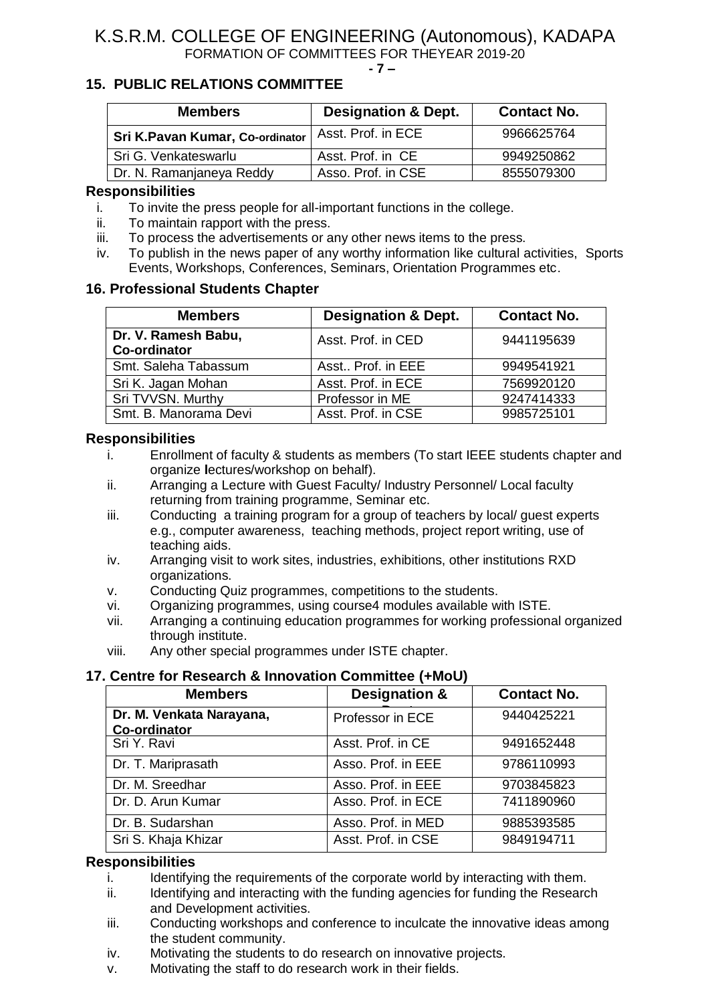#### **- 7 –**

## **15. PUBLIC RELATIONS COMMITTEE**

| <b>Members</b>                  | <b>Designation &amp; Dept.</b> | <b>Contact No.</b> |
|---------------------------------|--------------------------------|--------------------|
| Sri K.Pavan Kumar, Co-ordinator | Asst. Prof. in ECE             | 9966625764         |
| Sri G. Venkateswarlu            | Asst. Prof. in CE              | 9949250862         |
| Dr. N. Ramanjaneya Reddy        | Asso. Prof. in CSE             | 8555079300         |

### **Responsibilities**

- i. To invite the press people for all-important functions in the college.
- ii. To maintain rapport with the press.
- iii. To process the advertisements or any other news items to the press.
- iv. To publish in the news paper of any worthy information like cultural activities, Sports Events, Workshops, Conferences, Seminars, Orientation Programmes etc.

### **16. Professional Students Chapter**

| <b>Members</b>                             | <b>Designation &amp; Dept.</b> | <b>Contact No.</b> |
|--------------------------------------------|--------------------------------|--------------------|
| Dr. V. Ramesh Babu,<br><b>Co-ordinator</b> | Asst. Prof. in CED             | 9441195639         |
| Smt. Saleha Tabassum                       | Asst., Prof. in EEE            | 9949541921         |
| Sri K. Jagan Mohan                         | Asst. Prof. in ECE             | 7569920120         |
| Sri TVVSN. Murthy                          | Professor in ME                | 9247414333         |
| Smt. B. Manorama Devi                      | Asst. Prof. in CSE             | 9985725101         |

### **Responsibilities**

- i. Enrollment of faculty & students as members (To start IEEE students chapter and organize **l**ectures/workshop on behalf).
- ii. Arranging a Lecture with Guest Faculty/ Industry Personnel/ Local faculty returning from training programme, Seminar etc.
- iii. Conducting a training program for a group of teachers by local/ guest experts e.g., computer awareness, teaching methods, project report writing, use of teaching aids.
- iv. Arranging visit to work sites, industries, exhibitions, other institutions RXD organizations.
- v. Conducting Quiz programmes, competitions to the students.
- vi. Organizing programmes, using course4 modules available with ISTE.
- vii. Arranging a continuing education programmes for working professional organized through institute.
- viii. Any other special programmes under ISTE chapter.

# **17. Centre for Research & Innovation Committee (+MoU)**

| <b>Members</b>                                  | <b>Designation &amp;</b> | <b>Contact No.</b> |
|-------------------------------------------------|--------------------------|--------------------|
| Dr. M. Venkata Narayana,<br><b>Co-ordinator</b> | Professor in ECE         | 9440425221         |
| Sri Y. Ravi                                     | Asst. Prof. in CE        | 9491652448         |
| Dr. T. Mariprasath                              | Asso. Prof. in EEE       | 9786110993         |
| Dr. M. Sreedhar                                 | Asso. Prof. in EEE       | 9703845823         |
| Dr. D. Arun Kumar                               | Asso. Prof. in ECE       | 7411890960         |
| Dr. B. Sudarshan                                | Asso. Prof. in MED       | 9885393585         |
| Sri S. Khaja Khizar                             | Asst. Prof. in CSE       | 9849194711         |

### **Responsibilities**

- i. Identifying the requirements of the corporate world by interacting with them.
- ii. Identifying and interacting with the funding agencies for funding the Research and Development activities.
- iii. Conducting workshops and conference to inculcate the innovative ideas among the student community.
- iv. Motivating the students to do research on innovative projects.
- v. Motivating the staff to do research work in their fields.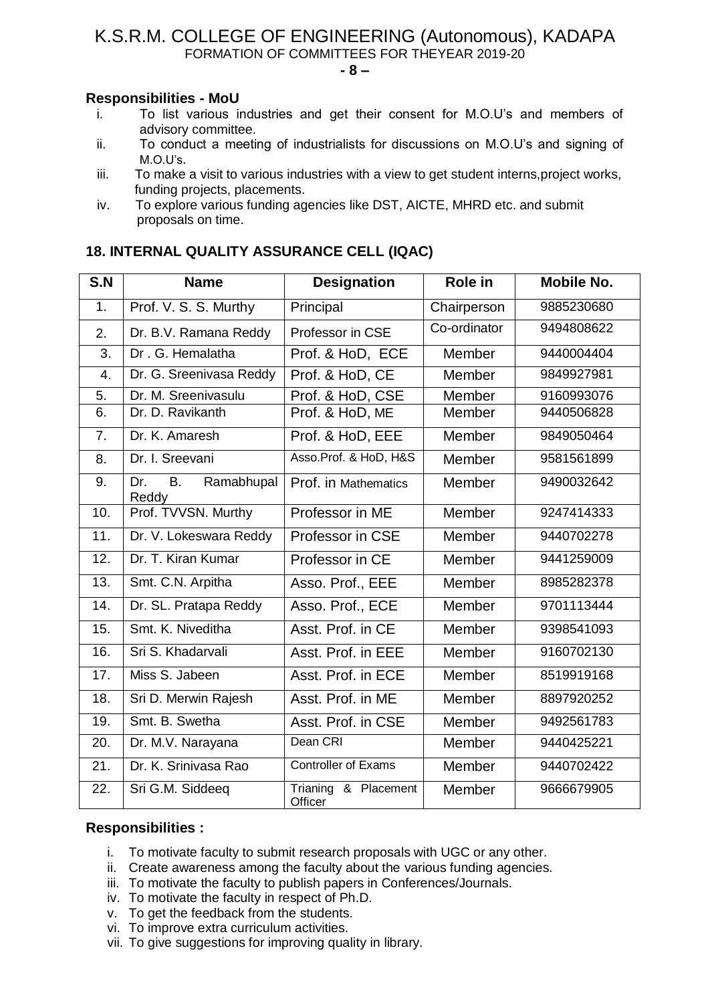**- 8 –**

## **Responsibilities - MoU**

- i. To list various industries and get their consent for M.O.U's and members of advisory committee.
- ii. To conduct a meeting of industrialists for discussions on M.O.U's and signing of M.O.U's.
- iii. To make a visit to various industries with a view to get student interns,project works, funding projects, placements.
- iv. To explore various funding agencies like DST, AICTE, MHRD etc. and submit proposals on time.

| S.N | <b>Name</b>                             | <b>Designation</b>              | <b>Role in</b> | <b>Mobile No.</b> |
|-----|-----------------------------------------|---------------------------------|----------------|-------------------|
| 1.  | Prof. V. S. S. Murthy                   | Principal                       | Chairperson    | 9885230680        |
| 2.  | Dr. B.V. Ramana Reddy                   | Professor in CSE                | Co-ordinator   | 9494808622        |
| 3.  | Dr. G. Hemalatha                        | Prof. & HoD, ECE                | Member         | 9440004404        |
| 4.  | Dr. G. Sreenivasa Reddy                 | Prof. & HoD, CE                 | Member         | 9849927981        |
| 5.  | Dr. M. Sreenivasulu                     | Prof. & HoD, CSE                | Member         | 9160993076        |
| 6.  | Dr. D. Ravikanth                        | Prof. & HoD, ME                 | Member         | 9440506828        |
| 7.  | Dr. K. Amaresh                          | Prof. & HoD, EEE                | Member         | 9849050464        |
| 8.  | Dr. I. Sreevani                         | Asso.Prof. & HoD, H&S           | Member         | 9581561899        |
| 9.  | Dr.<br><b>B.</b><br>Ramabhupal<br>Reddy | Prof. in Mathematics            | Member         | 9490032642        |
| 10. | Prof. TVVSN. Murthy                     | Professor in ME                 | Member         | 9247414333        |
| 11. | Dr. V. Lokeswara Reddy                  | Professor in CSE                | Member         | 9440702278        |
| 12. | Dr. T. Kiran Kumar                      | Professor in CE                 | Member         | 9441259009        |
| 13. | Smt. C.N. Arpitha                       | Asso. Prof., EEE                | Member         | 8985282378        |
| 14. | Dr. SL. Pratapa Reddy                   | Asso. Prof., ECE                | Member         | 9701113444        |
| 15. | Smt. K. Niveditha                       | Asst. Prof. in CE               | Member         | 9398541093        |
| 16. | Sri S. Khadarvali                       | Asst. Prof. in EEE              | Member         | 9160702130        |
| 17. | Miss S. Jabeen                          | Asst. Prof. in ECE              | Member         | 8519919168        |
| 18. | Sri D. Merwin Rajesh                    | Asst. Prof. in ME               | Member         | 8897920252        |
| 19. | Smt. B. Swetha                          | Asst. Prof. in CSE              | Member         | 9492561783        |
| 20. | Dr. M.V. Narayana                       | Dean CRI                        | Member         | 9440425221        |
| 21. | Dr. K. Srinivasa Rao                    | <b>Controller of Exams</b>      | Member         | 9440702422        |
| 22. | Sri G.M. Siddeeq                        | Trianing & Placement<br>Officer | Member         | 9666679905        |

## **18. INTERNAL QUALITY ASSURANCE CELL (IQAC)**

## **Responsibilities :**

- i. To motivate faculty to submit research proposals with UGC or any other.
- ii. Create awareness among the faculty about the various funding agencies.
- iii. To motivate the faculty to publish papers in Conferences/Journals.
- iv. To motivate the faculty in respect of Ph.D.
- v. To get the feedback from the students.
- vi. To improve extra curriculum activities.
- vii. To give suggestions for improving quality in library.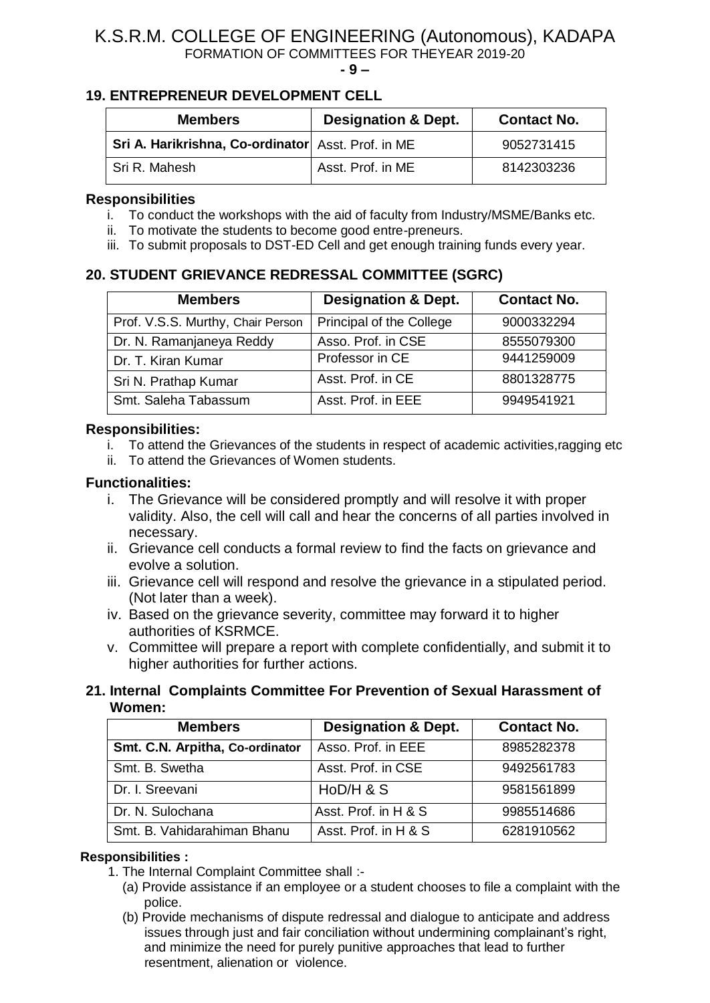#### **- 9 –**

## **19. ENTREPRENEUR DEVELOPMENT CELL**

| <b>Members</b>                                     | <b>Designation &amp; Dept.</b> | <b>Contact No.</b> |
|----------------------------------------------------|--------------------------------|--------------------|
| Sri A. Harikrishna, Co-ordinator Asst. Prof. in ME |                                | 9052731415         |
| l Sri R. Mahesh                                    | Asst. Prof. in ME              | 8142303236         |

## **Responsibilities**

- i. To conduct the workshops with the aid of faculty from Industry/MSME/Banks etc.
- ii. To motivate the students to become good entre-preneurs.
- iii. To submit proposals to DST-ED Cell and get enough training funds every year.

## **20. STUDENT GRIEVANCE REDRESSAL COMMITTEE (SGRC)**

| <b>Members</b>                    | <b>Designation &amp; Dept.</b> | <b>Contact No.</b> |
|-----------------------------------|--------------------------------|--------------------|
| Prof. V.S.S. Murthy, Chair Person | Principal of the College       | 9000332294         |
| Dr. N. Ramanjaneya Reddy          | Asso. Prof. in CSE             | 8555079300         |
| Dr. T. Kiran Kumar                | Professor in CE                | 9441259009         |
| Sri N. Prathap Kumar              | Asst. Prof. in CE              | 8801328775         |
| Smt. Saleha Tabassum              | Asst. Prof. in EEE             | 9949541921         |

## **Responsibilities:**

- i. To attend the Grievances of the students in respect of academic activities,ragging etc
- ii. To attend the Grievances of Women students.

## **Functionalities:**

- i. The Grievance will be considered promptly and will resolve it with proper validity. Also, the cell will call and hear the concerns of all parties involved in necessary.
- ii. Grievance cell conducts a formal review to find the facts on grievance and evolve a solution.
- iii. Grievance cell will respond and resolve the grievance in a stipulated period. (Not later than a week).
- iv. Based on the grievance severity, committee may forward it to higher authorities of KSRMCE.
- v. Committee will prepare a report with complete confidentially, and submit it to higher authorities for further actions.

## **21. Internal Complaints Committee For Prevention of Sexual Harassment of Women:**

| <b>Members</b>                  | <b>Designation &amp; Dept.</b> | <b>Contact No.</b> |
|---------------------------------|--------------------------------|--------------------|
| Smt. C.N. Arpitha, Co-ordinator | Asso. Prof. in EEE             | 8985282378         |
| Smt. B. Swetha                  | Asst. Prof. in CSE             | 9492561783         |
| Dr. I. Sreevani                 | HoD/H & S                      | 9581561899         |
| Dr. N. Sulochana                | Asst. Prof. in H & S           | 9985514686         |
| Smt. B. Vahidarahiman Bhanu     | Asst. Prof. in H & S           | 6281910562         |

## **Responsibilities :**

- 1. The Internal Complaint Committee shall :-
	- (a) Provide assistance if an employee or a student chooses to file a complaint with the police.
	- (b) Provide mechanisms of dispute redressal and dialogue to anticipate and address issues through just and fair conciliation without undermining complainant's right, and minimize the need for purely punitive approaches that lead to further resentment, alienation or violence.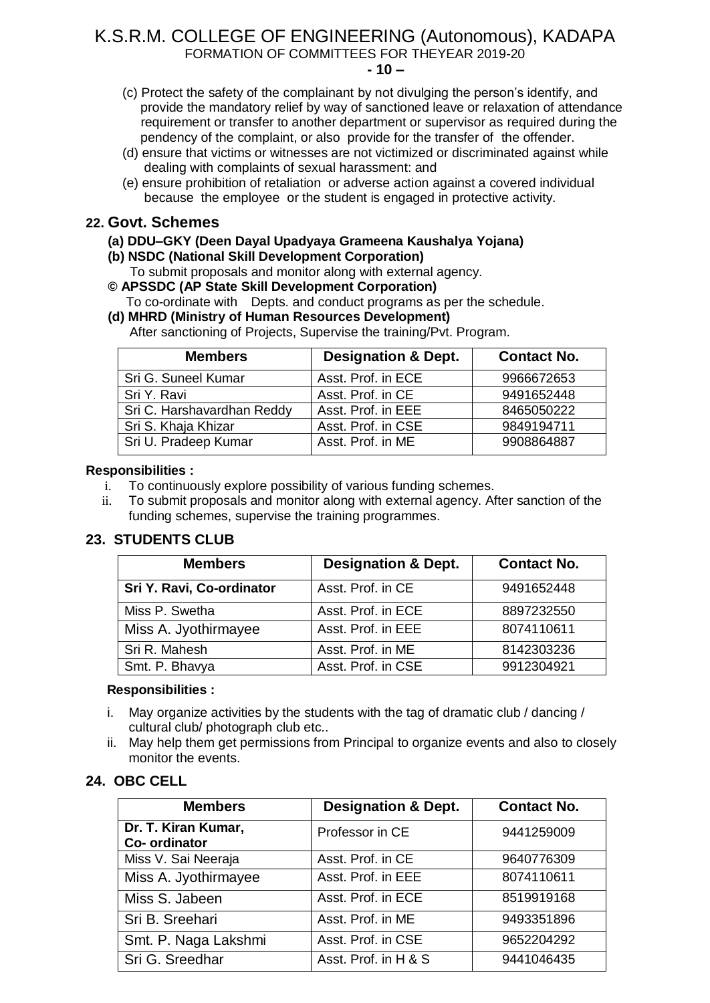**- 10 –**

- (c) Protect the safety of the complainant by not divulging the person's identify, and provide the mandatory relief by way of sanctioned leave or relaxation of attendance requirement or transfer to another department or supervisor as required during the pendency of the complaint, or also provide for the transfer of the offender.
- (d) ensure that victims or witnesses are not victimized or discriminated against while dealing with complaints of sexual harassment: and
- (e) ensure prohibition of retaliation or adverse action against a covered individual because the employee or the student is engaged in protective activity.

## **22. Govt. Schemes**

### **(a) DDU–GKY (Deen Dayal Upadyaya Grameena Kaushalya Yojana)**

- **(b) NSDC (National Skill Development Corporation)**
- To submit proposals and monitor along with external agency.
- **© APSSDC (AP State Skill Development Corporation)** To co-ordinate with Depts. and conduct programs as per the schedule.

 **(d) MHRD (Ministry of Human Resources Development)**  After sanctioning of Projects, Supervise the training/Pvt. Program.

| <b>Members</b>             | <b>Designation &amp; Dept.</b> | <b>Contact No.</b> |
|----------------------------|--------------------------------|--------------------|
| Sri G. Suneel Kumar        | Asst. Prof. in ECE             | 9966672653         |
| Sri Y. Ravi                | Asst. Prof. in CE              | 9491652448         |
| Sri C. Harshavardhan Reddy | Asst. Prof. in EEE             | 8465050222         |
| Sri S. Khaja Khizar        | Asst. Prof. in CSE             | 9849194711         |
| Sri U. Pradeep Kumar       | Asst. Prof. in ME              | 9908864887         |

### **Responsibilities :**

- i. To continuously explore possibility of various funding schemes.
- ii. To submit proposals and monitor along with external agency. After sanction of the funding schemes, supervise the training programmes.

## **23. STUDENTS CLUB**

| <b>Members</b>            | <b>Designation &amp; Dept.</b> | <b>Contact No.</b> |
|---------------------------|--------------------------------|--------------------|
| Sri Y. Ravi, Co-ordinator | Asst. Prof. in CE              | 9491652448         |
| Miss P. Swetha            | Asst. Prof. in ECE             | 8897232550         |
| Miss A. Jyothirmayee      | Asst. Prof. in EEE             | 8074110611         |
| Sri R. Mahesh             | Asst. Prof. in ME              | 8142303236         |
| Smt. P. Bhavya            | Asst. Prof. in CSE             | 9912304921         |

### **Responsibilities :**

- i. May organize activities by the students with the tag of dramatic club / dancing / cultural club/ photograph club etc..
- ii. May help them get permissions from Principal to organize events and also to closely monitor the events.

## **24. OBC CELL**

| <b>Members</b>                       | <b>Designation &amp; Dept.</b> | <b>Contact No.</b> |  |
|--------------------------------------|--------------------------------|--------------------|--|
| Dr. T. Kiran Kumar,<br>Co- ordinator | Professor in CE                | 9441259009         |  |
| Miss V. Sai Neeraja                  | Asst. Prof. in CE              | 9640776309         |  |
| Miss A. Jyothirmayee                 | Asst. Prof. in EEE             | 8074110611         |  |
| Miss S. Jabeen                       | Asst. Prof. in ECE             | 8519919168         |  |
| Sri B. Sreehari                      | Asst. Prof. in ME              | 9493351896         |  |
| Smt. P. Naga Lakshmi                 | Asst. Prof. in CSE             | 9652204292         |  |
| Sri G. Sreedhar                      | Asst. Prof. in H & S           | 9441046435         |  |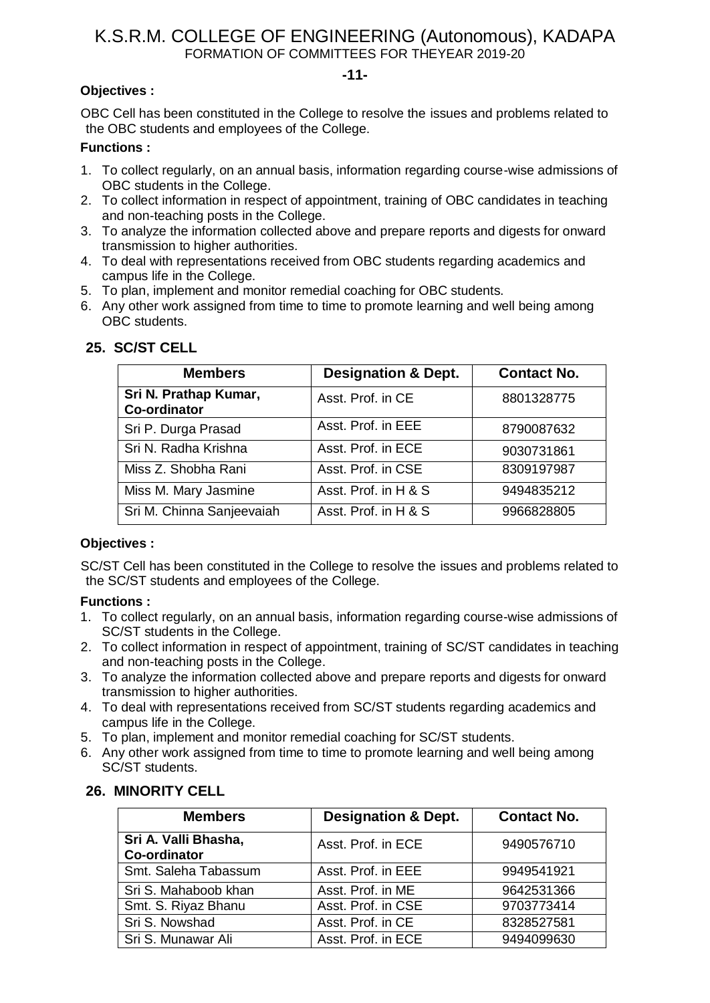#### **-11-**

## **Objectives :**

OBC Cell has been constituted in the College to resolve the issues and problems related to the OBC students and employees of the College.

### **Functions :**

- 1. To collect regularly, on an annual basis, information regarding course-wise admissions of OBC students in the College.
- 2. To collect information in respect of appointment, training of OBC candidates in teaching and non-teaching posts in the College.
- 3. To analyze the information collected above and prepare reports and digests for onward transmission to higher authorities.
- 4. To deal with representations received from OBC students regarding academics and campus life in the College.
- 5. To plan, implement and monitor remedial coaching for OBC students.
- 6. Any other work assigned from time to time to promote learning and well being among OBC students.

| <b>Members</b>                               | <b>Designation &amp; Dept.</b> | <b>Contact No.</b> |
|----------------------------------------------|--------------------------------|--------------------|
| Sri N. Prathap Kumar,<br><b>Co-ordinator</b> | Asst. Prof. in CE              | 8801328775         |
| Sri P. Durga Prasad                          | Asst. Prof. in EEE             | 8790087632         |
| Sri N. Radha Krishna                         | Asst. Prof. in ECE             | 9030731861         |
| Miss Z. Shobha Rani                          | Asst. Prof. in CSE             | 8309197987         |
| Miss M. Mary Jasmine                         | Asst. Prof. in H & S           | 9494835212         |
| Sri M. Chinna Sanjeevaiah                    | Asst. Prof. in H & S           | 9966828805         |

## **25. SC/ST CELL**

## **Objectives :**

SC/ST Cell has been constituted in the College to resolve the issues and problems related to the SC/ST students and employees of the College.

## **Functions :**

- 1. To collect regularly, on an annual basis, information regarding course-wise admissions of SC/ST students in the College.
- 2. To collect information in respect of appointment, training of SC/ST candidates in teaching and non-teaching posts in the College.
- 3. To analyze the information collected above and prepare reports and digests for onward transmission to higher authorities.
- 4. To deal with representations received from SC/ST students regarding academics and campus life in the College.
- 5. To plan, implement and monitor remedial coaching for SC/ST students.
- 6. Any other work assigned from time to time to promote learning and well being among SC/ST students.

| <b>Members</b>                              | <b>Designation &amp; Dept.</b> | <b>Contact No.</b> |
|---------------------------------------------|--------------------------------|--------------------|
| Sri A. Valli Bhasha,<br><b>Co-ordinator</b> | Asst. Prof. in ECE             | 9490576710         |
| Smt. Saleha Tabassum                        | Asst. Prof. in EEE             | 9949541921         |
| Sri S. Mahaboob khan                        | Asst. Prof. in ME              | 9642531366         |
| Smt. S. Riyaz Bhanu                         | Asst. Prof. in CSE             | 9703773414         |
| Sri S. Nowshad                              | Asst. Prof. in CE              | 8328527581         |
| Sri S. Munawar Ali                          | Asst. Prof. in ECE             | 9494099630         |

### **26. MINORITY CELL**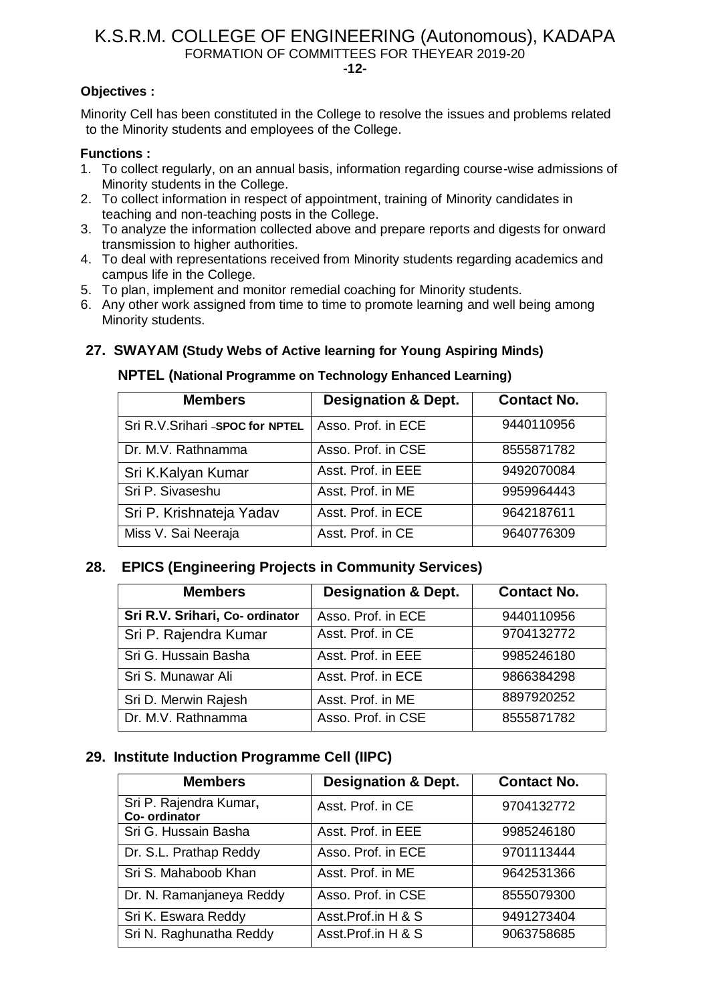**-12-**

### **Objectives :**

Minority Cell has been constituted in the College to resolve the issues and problems related to the Minority students and employees of the College.

### **Functions :**

- 1. To collect regularly, on an annual basis, information regarding course-wise admissions of Minority students in the College.
- 2. To collect information in respect of appointment, training of Minority candidates in teaching and non-teaching posts in the College.
- 3. To analyze the information collected above and prepare reports and digests for onward transmission to higher authorities.
- 4. To deal with representations received from Minority students regarding academics and campus life in the College.
- 5. To plan, implement and monitor remedial coaching for Minority students.
- 6. Any other work assigned from time to time to promote learning and well being among Minority students.

## **27. SWAYAM (Study Webs of Active learning for Young Aspiring Minds)**

### **NPTEL (National Programme on Technology Enhanced Learning)**

| <b>Members</b>                   | <b>Designation &amp; Dept.</b> | <b>Contact No.</b> |  |
|----------------------------------|--------------------------------|--------------------|--|
| Sri R.V.Srihari - SPOC for NPTEL | Asso. Prof. in ECE             | 9440110956         |  |
| Dr. M.V. Rathnamma               | Asso. Prof. in CSE             | 8555871782         |  |
| Sri K.Kalyan Kumar               | Asst. Prof. in EEE             | 9492070084         |  |
| Sri P. Sivaseshu                 | Asst. Prof. in ME              | 9959964443         |  |
| Sri P. Krishnateja Yadav         | Asst. Prof. in ECE             | 9642187611         |  |
| Miss V. Sai Neeraja              | Asst. Prof. in CE              | 9640776309         |  |

## **28. EPICS (Engineering Projects in Community Services)**

| <b>Designation &amp; Dept.</b><br><b>Members</b> |                    | <b>Contact No.</b> |  |
|--------------------------------------------------|--------------------|--------------------|--|
| Sri R.V. Srihari, Co- ordinator                  | Asso. Prof. in ECE | 9440110956         |  |
| Sri P. Rajendra Kumar                            | Asst. Prof. in CE  | 9704132772         |  |
| Sri G. Hussain Basha                             | Asst. Prof. in EEE | 9985246180         |  |
| Sri S. Munawar Ali                               | Asst. Prof. in ECE | 9866384298         |  |
| Sri D. Merwin Rajesh                             | Asst. Prof. in ME  | 8897920252         |  |
| Dr. M.V. Rathnamma                               | Asso. Prof. in CSE | 8555871782         |  |

## **29. Institute Induction Programme Cell (IIPC)**

| <b>Members</b>                          | <b>Designation &amp; Dept.</b> | <b>Contact No.</b> |  |
|-----------------------------------------|--------------------------------|--------------------|--|
| Sri P. Rajendra Kumar,<br>Co- ordinator | Asst. Prof. in CE              | 9704132772         |  |
| Sri G. Hussain Basha                    | Asst. Prof. in EEE             | 9985246180         |  |
| Dr. S.L. Prathap Reddy                  | Asso. Prof. in ECE             | 9701113444         |  |
| Sri S. Mahaboob Khan                    | Asst. Prof. in ME              | 9642531366         |  |
| Dr. N. Ramanjaneya Reddy                | Asso. Prof. in CSE             | 8555079300         |  |
| Sri K. Eswara Reddy                     | Asst.Prof.in H & S             | 9491273404         |  |
| Sri N. Raghunatha Reddy                 | Asst.Prof.in H & S             | 9063758685         |  |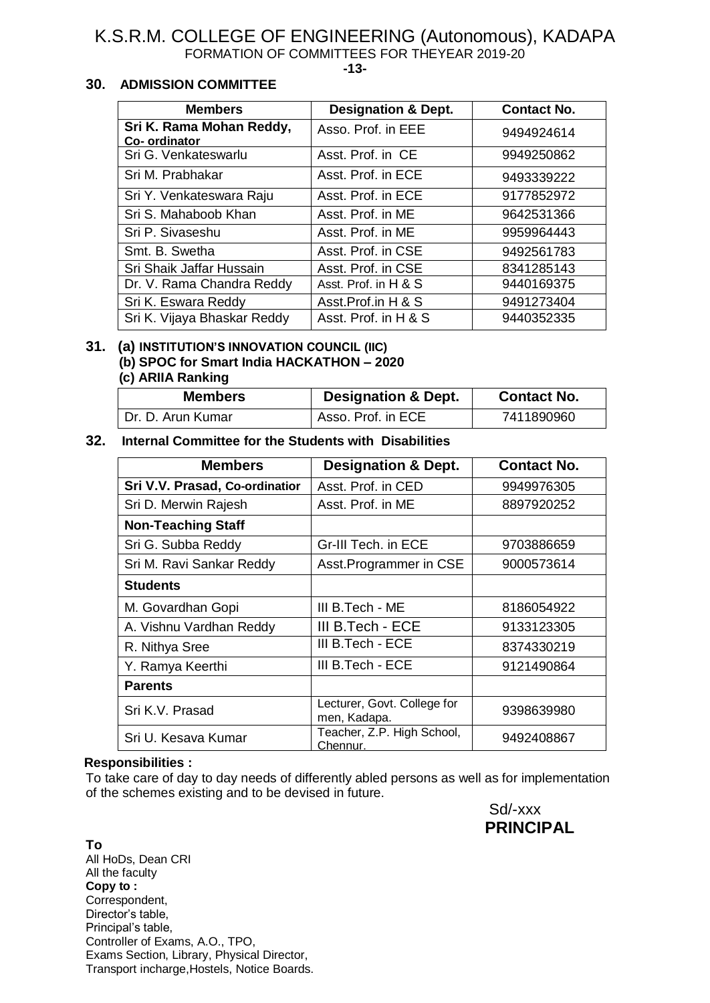**-13-**

### **30. ADMISSION COMMITTEE**

| <b>Members</b>                           | <b>Designation &amp; Dept.</b> | <b>Contact No.</b> |
|------------------------------------------|--------------------------------|--------------------|
| Sri K. Rama Mohan Reddy,<br>Co-ordinator | Asso. Prof. in EEE             | 9494924614         |
| Sri G. Venkateswarlu                     | Asst. Prof. in CE              | 9949250862         |
| Sri M. Prabhakar                         | Asst. Prof. in ECE             | 9493339222         |
| Sri Y. Venkateswara Raju                 | Asst. Prof. in ECE             | 9177852972         |
| Sri S. Mahaboob Khan                     | Asst. Prof. in ME              | 9642531366         |
| Sri P. Sivaseshu                         | Asst. Prof. in ME              | 9959964443         |
| Smt. B. Swetha                           | Asst. Prof. in CSE             | 9492561783         |
| Sri Shaik Jaffar Hussain                 | Asst. Prof. in CSE             | 8341285143         |
| Dr. V. Rama Chandra Reddy                | Asst. Prof. in H & S           | 9440169375         |
| Sri K. Eswara Reddy                      | Asst.Prof.in H & S             | 9491273404         |
| Sri K. Vijaya Bhaskar Reddy              | Asst. Prof. in H & S           | 9440352335         |

### **31. (a) INSTITUTION'S INNOVATION COUNCIL (IIC) (b) SPOC for Smart India HACKATHON – 2020 (c) ARIIA Ranking**

| <b>Members</b>    | <b>Designation &amp; Dept.</b> | <b>Contact No.</b> |  |
|-------------------|--------------------------------|--------------------|--|
| Dr. D. Arun Kumar | Asso. Prof. in ECE             | 7411890960         |  |

### **32. Internal Committee for the Students with Disabilities**

| <b>Members</b>                 | <b>Designation &amp; Dept.</b>                            | <b>Contact No.</b> |  |
|--------------------------------|-----------------------------------------------------------|--------------------|--|
| Sri V.V. Prasad, Co-ordinatior | Asst. Prof. in CED                                        | 9949976305         |  |
| Sri D. Merwin Rajesh           | Asst. Prof. in ME<br>8897920252                           |                    |  |
| <b>Non-Teaching Staff</b>      |                                                           |                    |  |
| Sri G. Subba Reddy             | Gr-III Tech. in ECE                                       | 9703886659         |  |
| Sri M. Ravi Sankar Reddy       | Asst.Programmer in CSE                                    | 9000573614         |  |
| <b>Students</b>                |                                                           |                    |  |
| M. Govardhan Gopi              | III B. Tech - ME                                          | 8186054922         |  |
| A. Vishnu Vardhan Reddy        | III B.Tech - ECE                                          | 9133123305         |  |
| R. Nithya Sree                 | III B. Tech - ECE<br>8374330219                           |                    |  |
| Y. Ramya Keerthi               | III B.Tech - ECE                                          | 9121490864         |  |
| <b>Parents</b>                 |                                                           |                    |  |
| Sri K.V. Prasad                | Lecturer, Govt. College for<br>9398639980<br>men, Kadapa. |                    |  |
| Sri U. Kesava Kumar            | Teacher, Z.P. High School,<br>Chennur.                    | 9492408867         |  |

### **Responsibilities :**

To take care of day to day needs of differently abled persons as well as for implementation of the schemes existing and to be devised in future.



**To** All HoDs, Dean CRI All the faculty **Copy to :** Correspondent, Director's table, Principal's table, Controller of Exams, A.O., TPO, Exams Section, Library, Physical Director, Transport incharge,Hostels, Notice Boards.